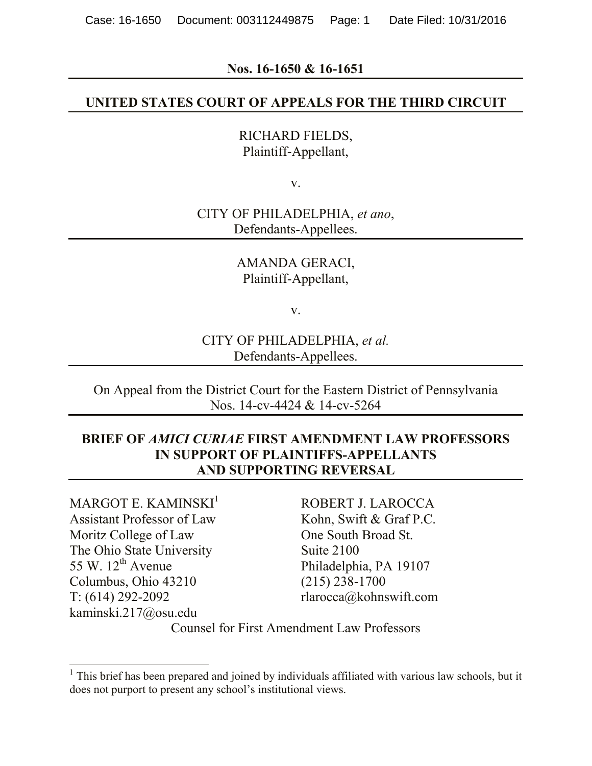## **Nos. 16-1650 & 16-1651**

## **UNITED STATES COURT OF APPEALS FOR THE THIRD CIRCUIT**

RICHARD FIELDS, Plaintiff-Appellant,

v.

CITY OF PHILADELPHIA, *et ano*, Defendants-Appellees.

## AMANDA GERACI, Plaintiff-Appellant,

v.

CITY OF PHILADELPHIA, *et al.* Defendants-Appellees.

On Appeal from the District Court for the Eastern District of Pennsylvania Nos. 14-cv-4424 & 14-cv-5264

## **BRIEF OF** *AMICI CURIAE* **FIRST AMENDMENT LAW PROFESSORS IN SUPPORT OF PLAINTIFFS-APPELLANTS AND SUPPORTING REVERSAL**

MARGOT E. KAMINSKI $<sup>1</sup>$ </sup> Assistant Professor of Law Moritz College of Law The Ohio State University 55 W.  $12^{th}$  Avenue Columbus, Ohio 43210 T: (614) 292-2092 kaminski.217@osu.edu

 $\overline{a}$ 

ROBERT J. LAROCCA Kohn, Swift & Graf P.C. One South Broad St. Suite 2100 Philadelphia, PA 19107 (215) 238-1700 rlarocca@kohnswift.com

Counsel for First Amendment Law Professors

<sup>&</sup>lt;sup>1</sup> This brief has been prepared and joined by individuals affiliated with various law schools, but it does not purport to present any school's institutional views.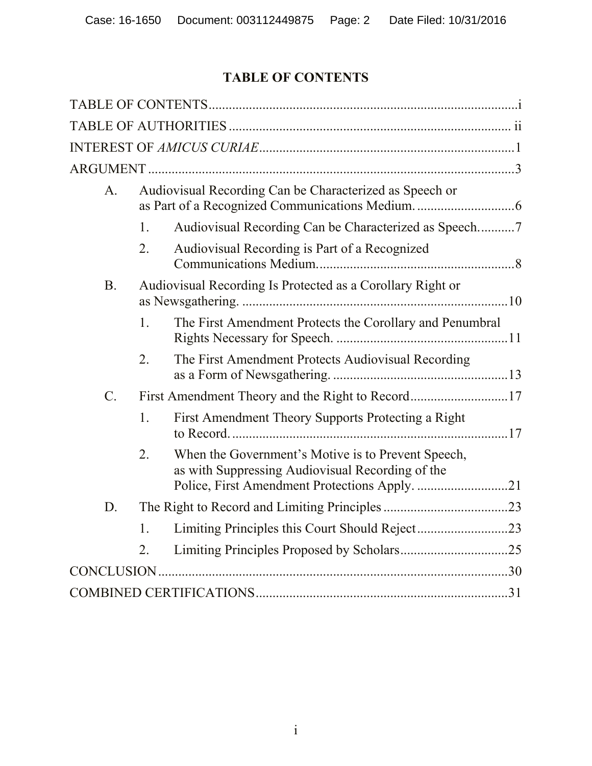# **TABLE OF CONTENTS**

| The First Amendment Protects the Corollary and Penumbral |
|----------------------------------------------------------|
|                                                          |
| First Amendment Theory and the Right to Record17         |
|                                                          |
|                                                          |
|                                                          |
|                                                          |
|                                                          |
|                                                          |
|                                                          |
|                                                          |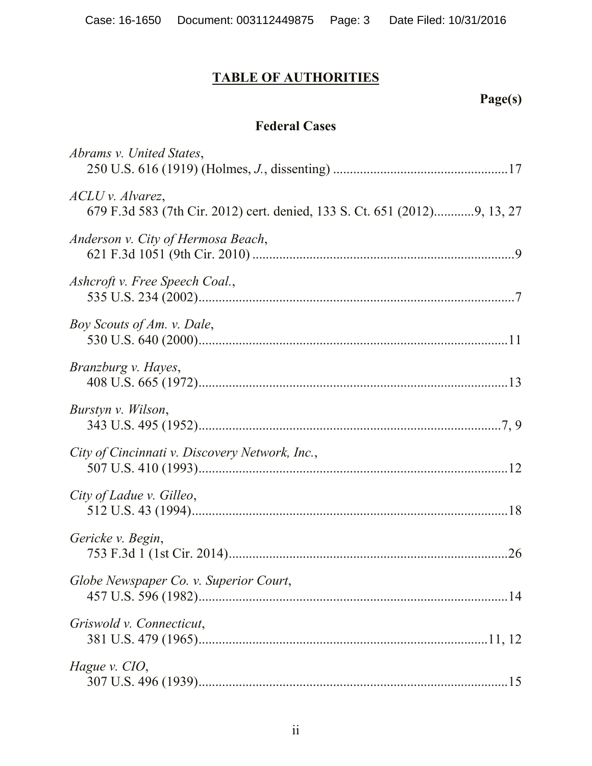# **TABLE OF AUTHORITIES**

# **Page(s)**

## **Federal Cases**

| Abrams v. United States,                       |     |
|------------------------------------------------|-----|
| $ACLU$ v. Alvarez,                             |     |
| Anderson v. City of Hermosa Beach,             |     |
| Ashcroft v. Free Speech Coal.,                 |     |
| Boy Scouts of Am. v. Dale,                     |     |
| Branzburg v. Hayes,                            |     |
| Burstyn v. Wilson,                             |     |
| City of Cincinnati v. Discovery Network, Inc., |     |
| City of Ladue v. Gilleo,                       |     |
| Gericke v. Begin,                              | .26 |
| Globe Newspaper Co. v. Superior Court,         |     |
| Griswold v. Connecticut,                       |     |
| Hague v. CIO,                                  |     |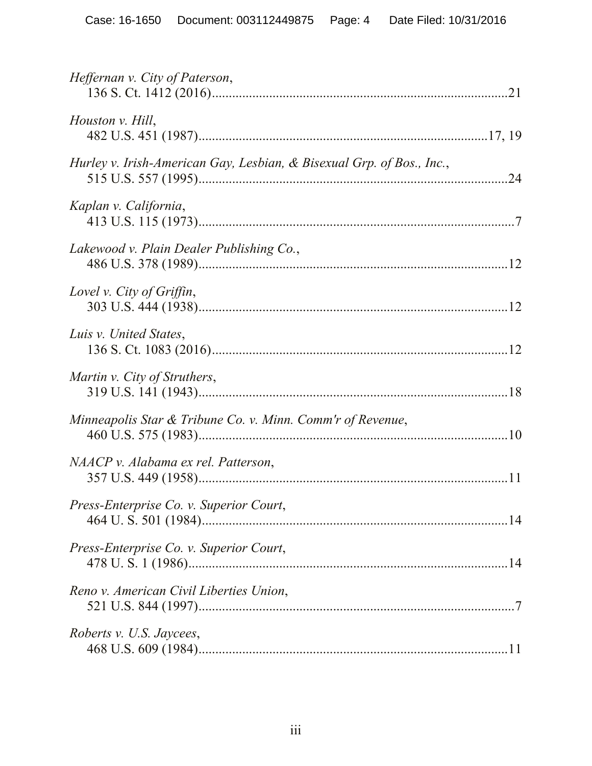| Heffernan v. City of Paterson,                                        |  |
|-----------------------------------------------------------------------|--|
| Houston v. Hill,                                                      |  |
| Hurley v. Irish-American Gay, Lesbian, & Bisexual Grp. of Bos., Inc., |  |
| Kaplan v. California,                                                 |  |
| Lakewood v. Plain Dealer Publishing Co.,                              |  |
| Lovel v. City of Griffin,                                             |  |
| Luis v. United States,                                                |  |
| Martin v. City of Struthers,                                          |  |
| Minneapolis Star & Tribune Co. v. Minn. Comm'r of Revenue,            |  |
| NAACP v. Alabama ex rel. Patterson,                                   |  |
| Press-Enterprise Co. v. Superior Court,                               |  |
| Press-Enterprise Co. v. Superior Court,                               |  |
| Reno v. American Civil Liberties Union,                               |  |
| Roberts v. U.S. Jaycees,                                              |  |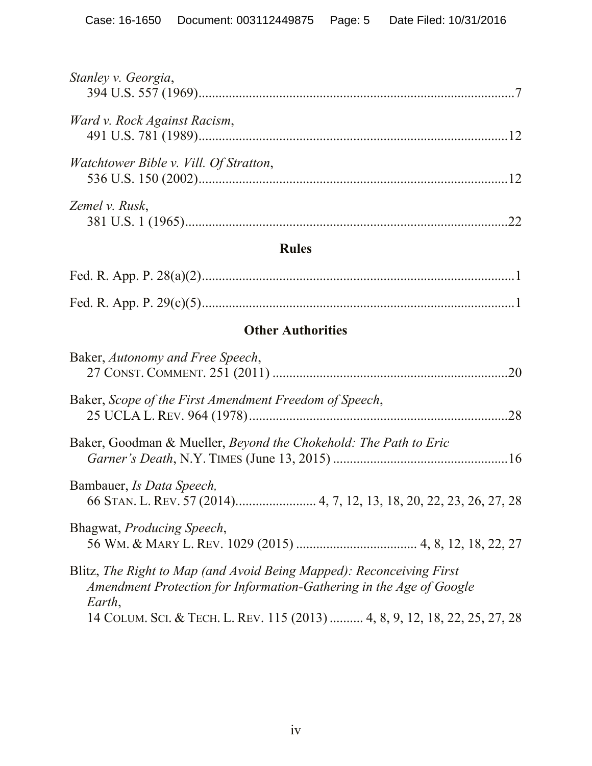| Stanley v. Georgia,                    |  |
|----------------------------------------|--|
| Ward v. Rock Against Racism,           |  |
| Watchtower Bible v. Vill. Of Stratton, |  |
| Zemel v. Rusk,                         |  |

## **Rules**

## **Other Authorities**

| Baker, Autonomy and Free Speech,<br>.20                                                                                                               |
|-------------------------------------------------------------------------------------------------------------------------------------------------------|
| Baker, Scope of the First Amendment Freedom of Speech,<br>.28                                                                                         |
| Baker, Goodman & Mueller, <i>Beyond the Chokehold: The Path to Eric</i>                                                                               |
| Bambauer, <i>Is Data Speech</i> ,                                                                                                                     |
| Bhagwat, <i>Producing Speech</i> ,                                                                                                                    |
| Blitz, The Right to Map (and Avoid Being Mapped): Reconceiving First<br>Amendment Protection for Information-Gathering in the Age of Google<br>Earth, |
| 14 COLUM. SCI. & TECH. L. REV. 115 (2013)  4, 8, 9, 12, 18, 22, 25, 27, 28                                                                            |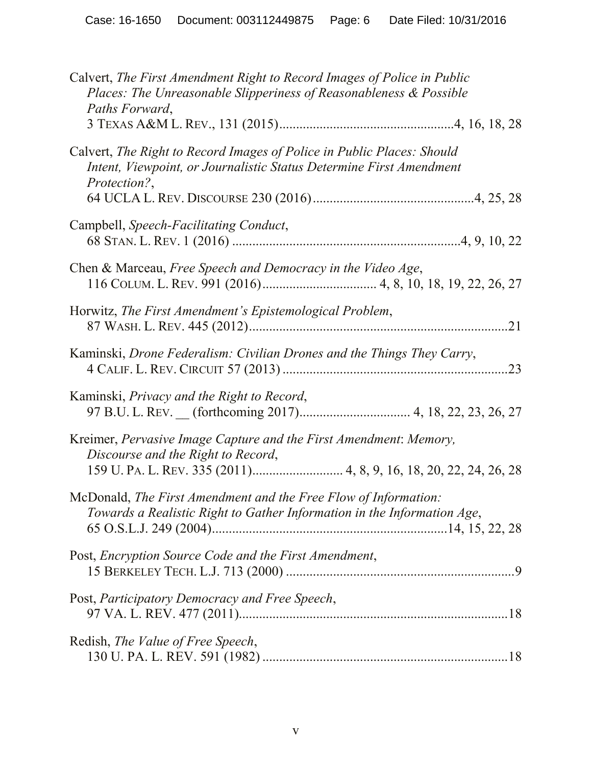| Calvert, The First Amendment Right to Record Images of Police in Public<br>Places: The Unreasonable Slipperiness of Reasonableness & Possible<br>Paths Forward, |
|-----------------------------------------------------------------------------------------------------------------------------------------------------------------|
| Calvert, The Right to Record Images of Police in Public Places: Should<br>Intent, Viewpoint, or Journalistic Status Determine First Amendment<br>Protection?,   |
| Campbell, Speech-Facilitating Conduct,                                                                                                                          |
| Chen & Marceau, Free Speech and Democracy in the Video Age,                                                                                                     |
| Horwitz, The First Amendment's Epistemological Problem,<br>.21                                                                                                  |
| Kaminski, Drone Federalism: Civilian Drones and the Things They Carry,<br>.23                                                                                   |
| Kaminski, <i>Privacy and the Right to Record</i> ,                                                                                                              |
| Kreimer, Pervasive Image Capture and the First Amendment: Memory,<br>Discourse and the Right to Record,                                                         |
| McDonald, The First Amendment and the Free Flow of Information:<br>Towards a Realistic Right to Gather Information in the Information Age,                      |
| Post, Encryption Source Code and the First Amendment,                                                                                                           |
| Post, Participatory Democracy and Free Speech,                                                                                                                  |
| Redish, The Value of Free Speech,                                                                                                                               |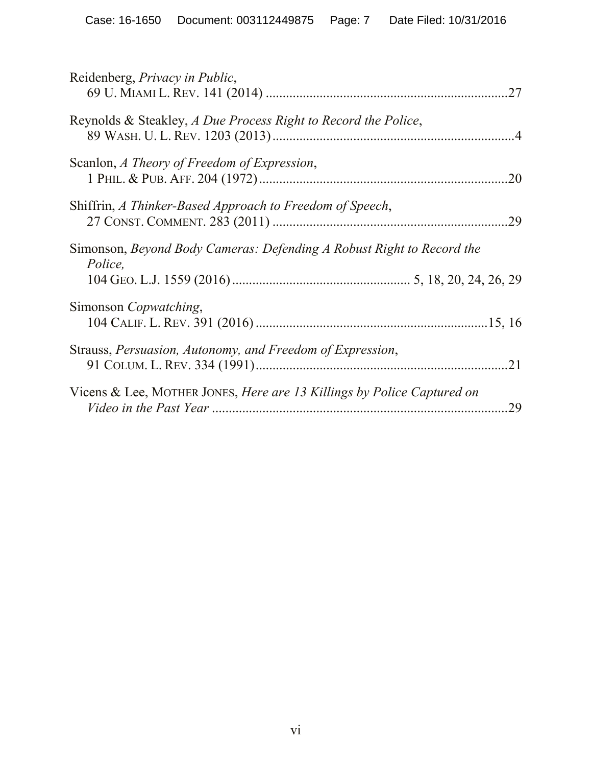| Reidenberg, <i>Privacy in Public</i> ,                                           | .27 |
|----------------------------------------------------------------------------------|-----|
| Reynolds & Steakley, A Due Process Right to Record the Police,                   |     |
| Scanlon, A Theory of Freedom of Expression,                                      | .20 |
| Shiffrin, A Thinker-Based Approach to Freedom of Speech,                         | .29 |
| Simonson, Beyond Body Cameras: Defending A Robust Right to Record the<br>Police, |     |
| Simonson Copwatching,                                                            |     |
| Strauss, Persuasion, Autonomy, and Freedom of Expression,                        | 21  |
| Vicens & Lee, MOTHER JONES, Here are 13 Killings by Police Captured on           | 29  |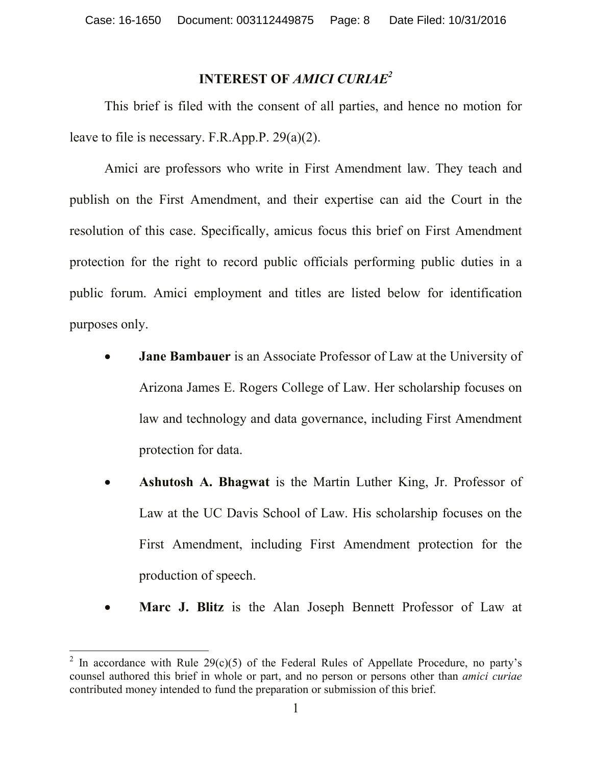## **INTEREST OF** *AMICI CURIAE<sup>2</sup>*

This brief is filed with the consent of all parties, and hence no motion for leave to file is necessary. F.R.App.P. 29(a)(2).

Amici are professors who write in First Amendment law. They teach and publish on the First Amendment, and their expertise can aid the Court in the resolution of this case. Specifically, amicus focus this brief on First Amendment protection for the right to record public officials performing public duties in a public forum. Amici employment and titles are listed below for identification purposes only.

- **Jane Bambauer** is an Associate Professor of Law at the University of Arizona James E. Rogers College of Law. Her scholarship focuses on law and technology and data governance, including First Amendment protection for data.
- **Ashutosh A. Bhagwat** is the Martin Luther King, Jr. Professor of Law at the UC Davis School of Law. His scholarship focuses on the First Amendment, including First Amendment protection for the production of speech.
- **Marc J. Blitz** is the Alan Joseph Bennett Professor of Law at

 $\overline{a}$ 

<sup>&</sup>lt;sup>2</sup> In accordance with Rule 29(c)(5) of the Federal Rules of Appellate Procedure, no party's counsel authored this brief in whole or part, and no person or persons other than *amici curiae*  contributed money intended to fund the preparation or submission of this brief.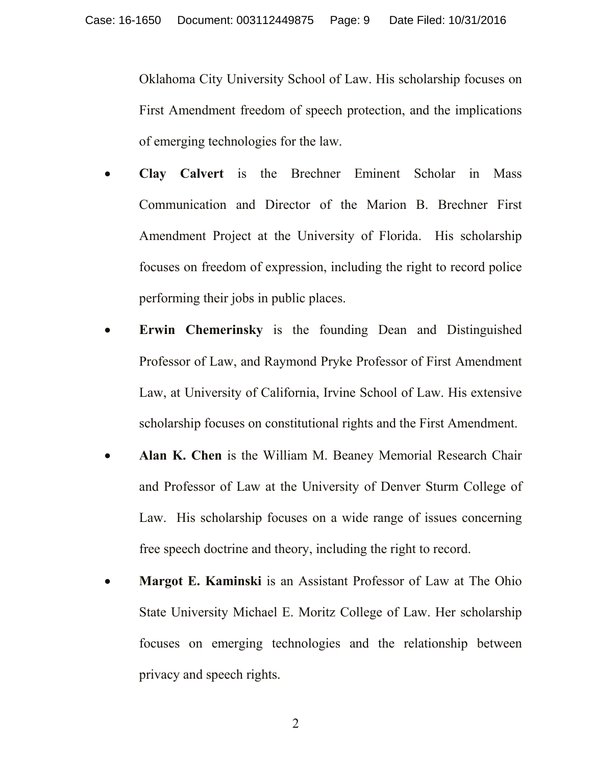Oklahoma City University School of Law. His scholarship focuses on First Amendment freedom of speech protection, and the implications of emerging technologies for the law.

- **Clay Calvert** is the Brechner Eminent Scholar in Mass Communication and Director of the Marion B. Brechner First Amendment Project at the University of Florida. His scholarship focuses on freedom of expression, including the right to record police performing their jobs in public places.
- **Erwin Chemerinsky** is the founding Dean and Distinguished Professor of Law, and Raymond Pryke Professor of First Amendment Law, at University of California, Irvine School of Law. His extensive scholarship focuses on constitutional rights and the First Amendment.
- **Alan K. Chen** is the William M. Beaney Memorial Research Chair and Professor of Law at the University of Denver Sturm College of Law. His scholarship focuses on a wide range of issues concerning free speech doctrine and theory, including the right to record.
- **Margot E. Kaminski** is an Assistant Professor of Law at The Ohio State University Michael E. Moritz College of Law. Her scholarship focuses on emerging technologies and the relationship between privacy and speech rights.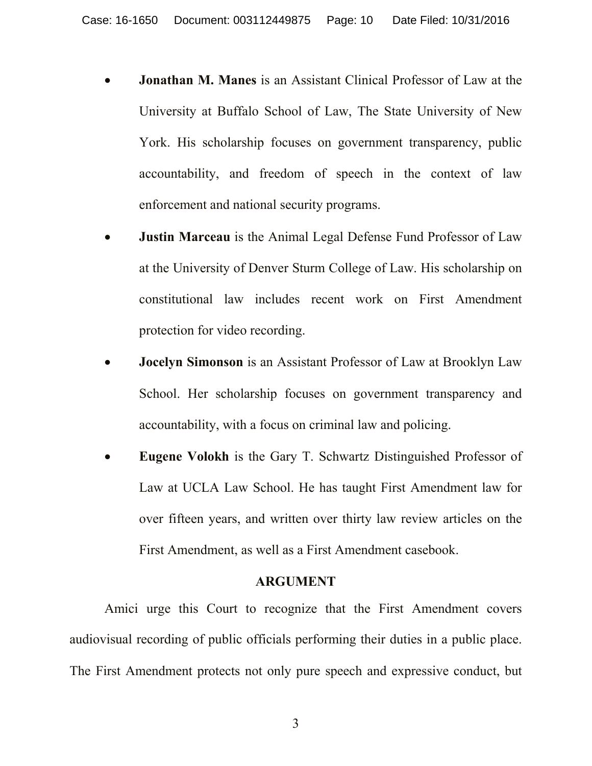- **Jonathan M. Manes** is an Assistant Clinical Professor of Law at the University at Buffalo School of Law, The State University of New York. His scholarship focuses on government transparency, public accountability, and freedom of speech in the context of law enforcement and national security programs.
- **Justin Marceau** is the Animal Legal Defense Fund Professor of Law at the University of Denver Sturm College of Law. His scholarship on constitutional law includes recent work on First Amendment protection for video recording.
- **Jocelyn Simonson** is an Assistant Professor of Law at Brooklyn Law School. Her scholarship focuses on government transparency and accountability, with a focus on criminal law and policing.
- **Eugene Volokh** is the Gary T. Schwartz Distinguished Professor of Law at UCLA Law School. He has taught First Amendment law for over fifteen years, and written over thirty law review articles on the First Amendment, as well as a First Amendment casebook.

#### **ARGUMENT**

Amici urge this Court to recognize that the First Amendment covers audiovisual recording of public officials performing their duties in a public place. The First Amendment protects not only pure speech and expressive conduct, but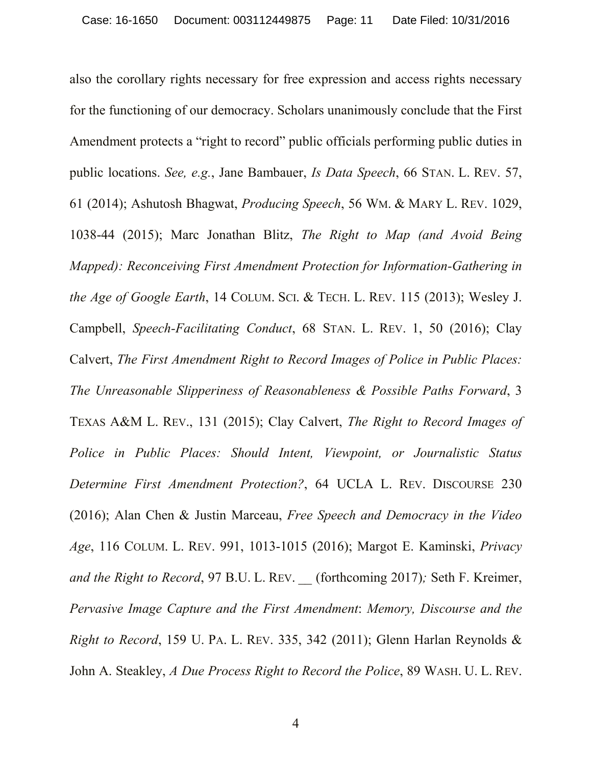also the corollary rights necessary for free expression and access rights necessary for the functioning of our democracy. Scholars unanimously conclude that the First Amendment protects a "right to record" public officials performing public duties in public locations. *See, e.g.*, Jane Bambauer, *Is Data Speech*, 66 STAN. L. REV. 57, 61 (2014); Ashutosh Bhagwat, *Producing Speech*, 56 WM. & MARY L. REV. 1029, 1038-44 (2015); Marc Jonathan Blitz, *The Right to Map (and Avoid Being Mapped): Reconceiving First Amendment Protection for Information-Gathering in the Age of Google Earth*, 14 COLUM. SCI. & TECH. L. REV. 115 (2013); Wesley J. Campbell, *Speech-Facilitating Conduct*, 68 STAN. L. REV. 1, 50 (2016); Clay Calvert, *The First Amendment Right to Record Images of Police in Public Places: The Unreasonable Slipperiness of Reasonableness & Possible Paths Forward*, 3 TEXAS A&M L. REV., 131 (2015); Clay Calvert, *The Right to Record Images of Police in Public Places: Should Intent, Viewpoint, or Journalistic Status Determine First Amendment Protection?*, 64 UCLA L. REV. DISCOURSE 230 (2016); Alan Chen & Justin Marceau, *Free Speech and Democracy in the Video Age*, 116 COLUM. L. REV. 991, 1013-1015 (2016); Margot E. Kaminski, *Privacy and the Right to Record*, 97 B.U. L. REV. \_\_ (forthcoming 2017)*;* Seth F. Kreimer, *Pervasive Image Capture and the First Amendment*: *Memory, Discourse and the Right to Record*, 159 U. PA. L. REV. 335, 342 (2011); Glenn Harlan Reynolds & John A. Steakley, *A Due Process Right to Record the Police*, 89 WASH. U. L. REV.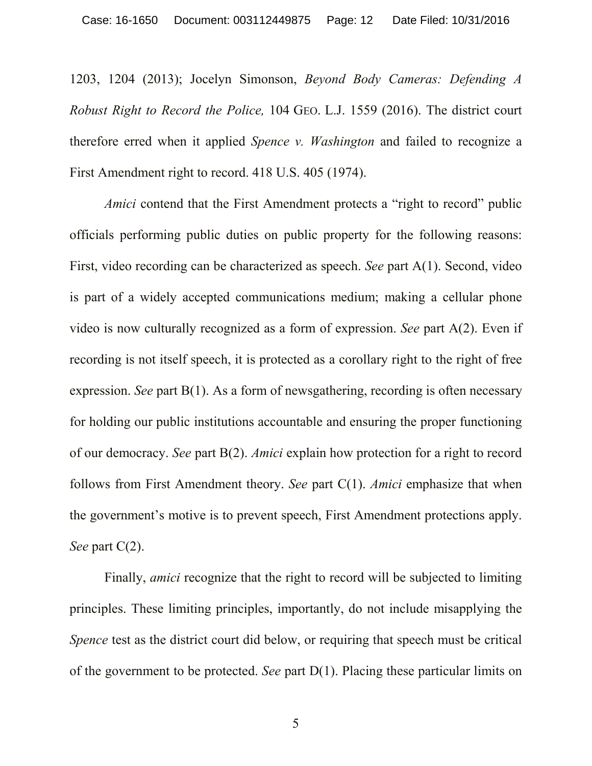1203, 1204 (2013); Jocelyn Simonson, *Beyond Body Cameras: Defending A Robust Right to Record the Police,* 104 GEO. L.J. 1559 (2016). The district court therefore erred when it applied *Spence v. Washington* and failed to recognize a First Amendment right to record. 418 U.S. 405 (1974).

*Amici* contend that the First Amendment protects a "right to record" public officials performing public duties on public property for the following reasons: First, video recording can be characterized as speech. *See* part A(1). Second, video is part of a widely accepted communications medium; making a cellular phone video is now culturally recognized as a form of expression. *See* part A(2). Even if recording is not itself speech, it is protected as a corollary right to the right of free expression. *See* part B(1). As a form of newsgathering, recording is often necessary for holding our public institutions accountable and ensuring the proper functioning of our democracy. *See* part B(2). *Amici* explain how protection for a right to record follows from First Amendment theory. *See* part C(1). *Amici* emphasize that when the government's motive is to prevent speech, First Amendment protections apply. *See* part C(2).

Finally, *amici* recognize that the right to record will be subjected to limiting principles. These limiting principles, importantly, do not include misapplying the *Spence* test as the district court did below, or requiring that speech must be critical of the government to be protected. *See* part D(1). Placing these particular limits on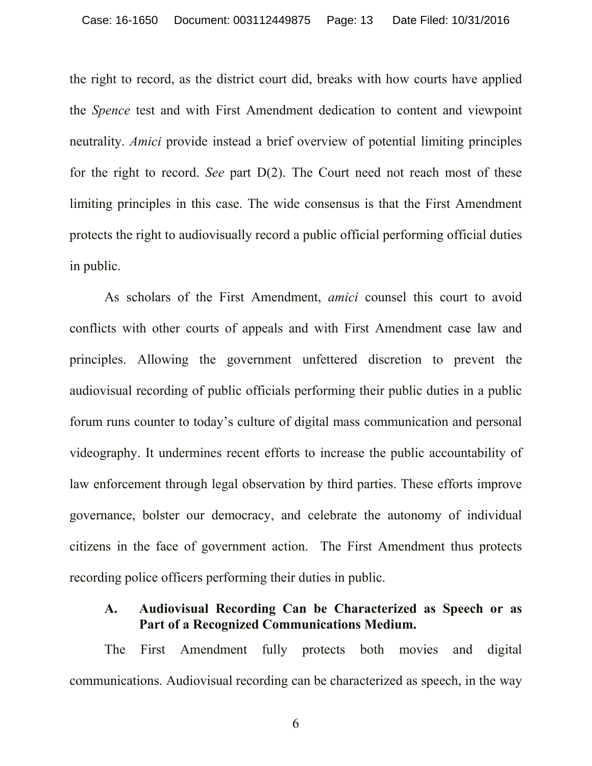the right to record, as the district court did, breaks with how courts have applied the *Spence* test and with First Amendment dedication to content and viewpoint neutrality. *Amici* provide instead a brief overview of potential limiting principles for the right to record. *See* part D(2). The Court need not reach most of these limiting principles in this case. The wide consensus is that the First Amendment protects the right to audiovisually record a public official performing official duties in public.

As scholars of the First Amendment, *amici* counsel this court to avoid conflicts with other courts of appeals and with First Amendment case law and principles. Allowing the government unfettered discretion to prevent the audiovisual recording of public officials performing their public duties in a public forum runs counter to today's culture of digital mass communication and personal videography. It undermines recent efforts to increase the public accountability of law enforcement through legal observation by third parties. These efforts improve governance, bolster our democracy, and celebrate the autonomy of individual citizens in the face of government action. The First Amendment thus protects recording police officers performing their duties in public.

## **A. Audiovisual Recording Can be Characterized as Speech or as Part of a Recognized Communications Medium.**

The First Amendment fully protects both movies and digital communications. Audiovisual recording can be characterized as speech, in the way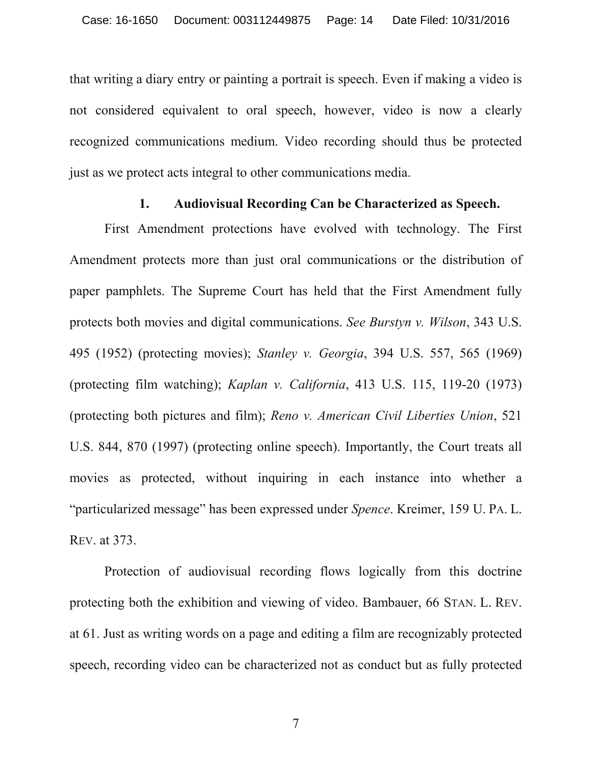that writing a diary entry or painting a portrait is speech. Even if making a video is not considered equivalent to oral speech, however, video is now a clearly recognized communications medium. Video recording should thus be protected just as we protect acts integral to other communications media.

#### **1. Audiovisual Recording Can be Characterized as Speech.**

First Amendment protections have evolved with technology. The First Amendment protects more than just oral communications or the distribution of paper pamphlets. The Supreme Court has held that the First Amendment fully protects both movies and digital communications. *See Burstyn v. Wilson*, 343 U.S. 495 (1952) (protecting movies); *Stanley v. Georgia*, 394 U.S. 557, 565 (1969) (protecting film watching); *Kaplan v. California*, 413 U.S. 115, 119-20 (1973) (protecting both pictures and film); *Reno v. American Civil Liberties Union*, 521 U.S. 844, 870 (1997) (protecting online speech). Importantly, the Court treats all movies as protected, without inquiring in each instance into whether a "particularized message" has been expressed under *Spence*. Kreimer, 159 U. PA. L. REV. at 373.

Protection of audiovisual recording flows logically from this doctrine protecting both the exhibition and viewing of video. Bambauer, 66 STAN. L. REV. at 61. Just as writing words on a page and editing a film are recognizably protected speech, recording video can be characterized not as conduct but as fully protected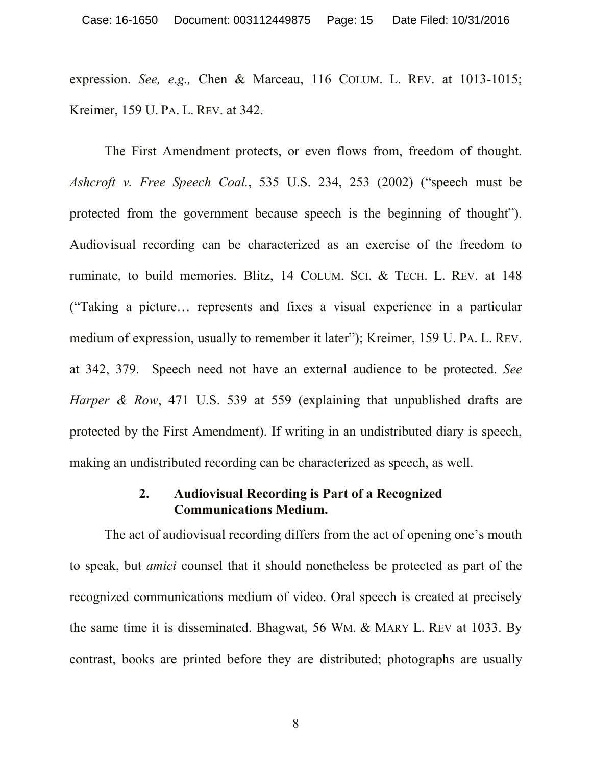expression. *See, e.g.,* Chen & Marceau, 116 COLUM. L. REV. at 1013-1015; Kreimer, 159 U. PA. L. REV. at 342.

The First Amendment protects, or even flows from, freedom of thought. *Ashcroft v. Free Speech Coal.*, 535 U.S. 234, 253 (2002) ("speech must be protected from the government because speech is the beginning of thought"). Audiovisual recording can be characterized as an exercise of the freedom to ruminate, to build memories. Blitz, 14 COLUM. SCI. & TECH. L. REV. at 148 ("Taking a picture… represents and fixes a visual experience in a particular medium of expression, usually to remember it later"); Kreimer, 159 U. PA. L. REV. at 342, 379. Speech need not have an external audience to be protected. *See Harper & Row*, 471 U.S. 539 at 559 (explaining that unpublished drafts are protected by the First Amendment). If writing in an undistributed diary is speech, making an undistributed recording can be characterized as speech, as well.

### **2. Audiovisual Recording is Part of a Recognized Communications Medium.**

The act of audiovisual recording differs from the act of opening one's mouth to speak, but *amici* counsel that it should nonetheless be protected as part of the recognized communications medium of video. Oral speech is created at precisely the same time it is disseminated. Bhagwat, 56 WM. & MARY L. REV at 1033. By contrast, books are printed before they are distributed; photographs are usually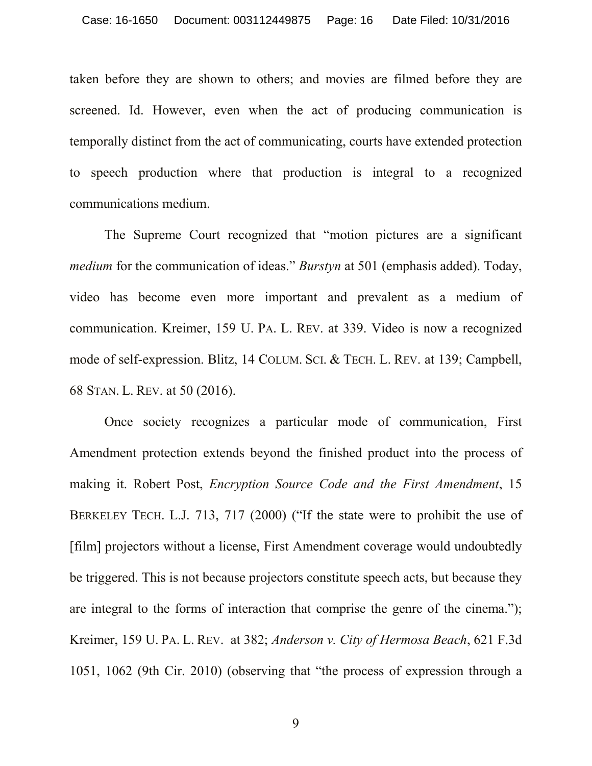taken before they are shown to others; and movies are filmed before they are screened. Id. However, even when the act of producing communication is temporally distinct from the act of communicating, courts have extended protection to speech production where that production is integral to a recognized communications medium.

The Supreme Court recognized that "motion pictures are a significant *medium* for the communication of ideas." *Burstyn* at 501 (emphasis added). Today, video has become even more important and prevalent as a medium of communication. Kreimer, 159 U. PA. L. REV. at 339. Video is now a recognized mode of self-expression. Blitz, 14 COLUM. SCI. & TECH. L. REV. at 139; Campbell, 68 STAN. L. REV. at 50 (2016).

Once society recognizes a particular mode of communication, First Amendment protection extends beyond the finished product into the process of making it. Robert Post, *Encryption Source Code and the First Amendment*, 15 BERKELEY TECH. L.J. 713, 717 (2000) ("If the state were to prohibit the use of [film] projectors without a license, First Amendment coverage would undoubtedly be triggered. This is not because projectors constitute speech acts, but because they are integral to the forms of interaction that comprise the genre of the cinema."); Kreimer, 159 U. PA. L. REV. at 382; *Anderson v. City of Hermosa Beach*, 621 F.3d 1051, 1062 (9th Cir. 2010) (observing that "the process of expression through a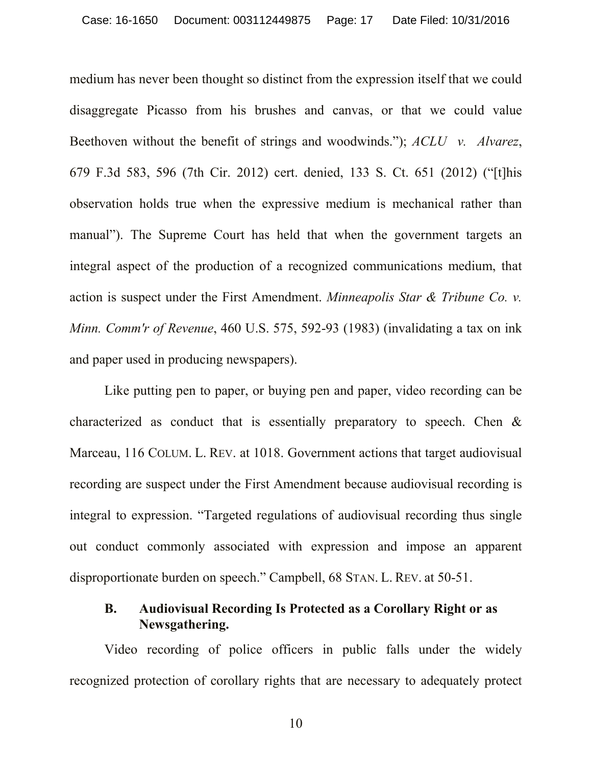medium has never been thought so distinct from the expression itself that we could disaggregate Picasso from his brushes and canvas, or that we could value Beethoven without the benefit of strings and woodwinds."); *ACLU v. Alvarez*, 679 F.3d 583, 596 (7th Cir. 2012) cert. denied, 133 S. Ct. 651 (2012) ("[t]his observation holds true when the expressive medium is mechanical rather than manual"). The Supreme Court has held that when the government targets an integral aspect of the production of a recognized communications medium, that action is suspect under the First Amendment. *Minneapolis Star & Tribune Co. v. Minn. Comm'r of Revenue*, 460 U.S. 575, 592-93 (1983) (invalidating a tax on ink and paper used in producing newspapers).

Like putting pen to paper, or buying pen and paper, video recording can be characterized as conduct that is essentially preparatory to speech. Chen & Marceau, 116 COLUM. L. REV. at 1018. Government actions that target audiovisual recording are suspect under the First Amendment because audiovisual recording is integral to expression. "Targeted regulations of audiovisual recording thus single out conduct commonly associated with expression and impose an apparent disproportionate burden on speech." Campbell, 68 STAN. L. REV. at 50-51.

## **B. Audiovisual Recording Is Protected as a Corollary Right or as Newsgathering.**

Video recording of police officers in public falls under the widely recognized protection of corollary rights that are necessary to adequately protect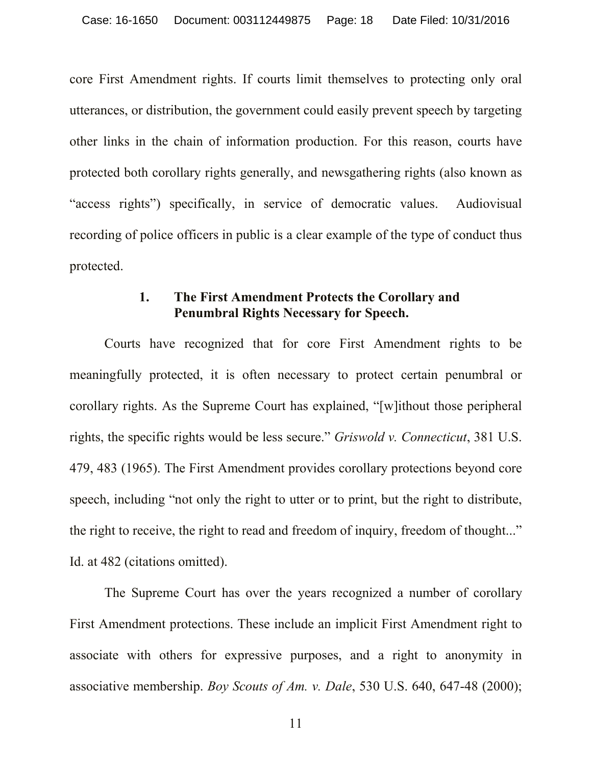core First Amendment rights. If courts limit themselves to protecting only oral utterances, or distribution, the government could easily prevent speech by targeting other links in the chain of information production. For this reason, courts have protected both corollary rights generally, and newsgathering rights (also known as "access rights") specifically, in service of democratic values. Audiovisual recording of police officers in public is a clear example of the type of conduct thus protected.

## **1. The First Amendment Protects the Corollary and Penumbral Rights Necessary for Speech.**

Courts have recognized that for core First Amendment rights to be meaningfully protected, it is often necessary to protect certain penumbral or corollary rights. As the Supreme Court has explained, "[w]ithout those peripheral rights, the specific rights would be less secure." *Griswold v. Connecticut*, 381 U.S. 479, 483 (1965). The First Amendment provides corollary protections beyond core speech, including "not only the right to utter or to print, but the right to distribute, the right to receive, the right to read and freedom of inquiry, freedom of thought..." Id. at 482 (citations omitted).

The Supreme Court has over the years recognized a number of corollary First Amendment protections. These include an implicit First Amendment right to associate with others for expressive purposes, and a right to anonymity in associative membership. *Boy Scouts of Am. v. Dale*, 530 U.S. 640, 647-48 (2000);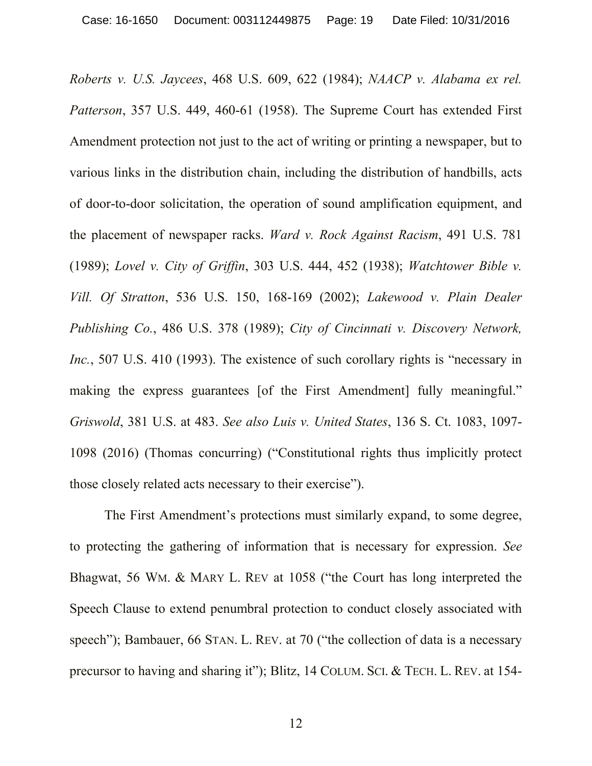*Roberts v. U.S. Jaycees*, 468 U.S. 609, 622 (1984); *NAACP v. Alabama ex rel. Patterson*, 357 U.S. 449, 460-61 (1958). The Supreme Court has extended First Amendment protection not just to the act of writing or printing a newspaper, but to various links in the distribution chain, including the distribution of handbills, acts of door-to-door solicitation, the operation of sound amplification equipment, and the placement of newspaper racks. *Ward v. Rock Against Racism*, 491 U.S. 781 (1989); *Lovel v. City of Griffin*, 303 U.S. 444, 452 (1938); *Watchtower Bible v. Vill. Of Stratton*, 536 U.S. 150, 168-169 (2002); *Lakewood v. Plain Dealer Publishing Co.*, 486 U.S. 378 (1989); *City of Cincinnati v. Discovery Network, Inc.*, 507 U.S. 410 (1993). The existence of such corollary rights is "necessary in making the express guarantees [of the First Amendment] fully meaningful." *Griswold*, 381 U.S. at 483. *See also Luis v. United States*, 136 S. Ct. 1083, 1097- 1098 (2016) (Thomas concurring) ("Constitutional rights thus implicitly protect those closely related acts necessary to their exercise").

The First Amendment's protections must similarly expand, to some degree, to protecting the gathering of information that is necessary for expression. *See*  Bhagwat, 56 WM. & MARY L. REV at 1058 ("the Court has long interpreted the Speech Clause to extend penumbral protection to conduct closely associated with speech"); Bambauer, 66 STAN. L. REV. at 70 ("the collection of data is a necessary precursor to having and sharing it"); Blitz, 14 COLUM. SCI. & TECH. L. REV. at 154-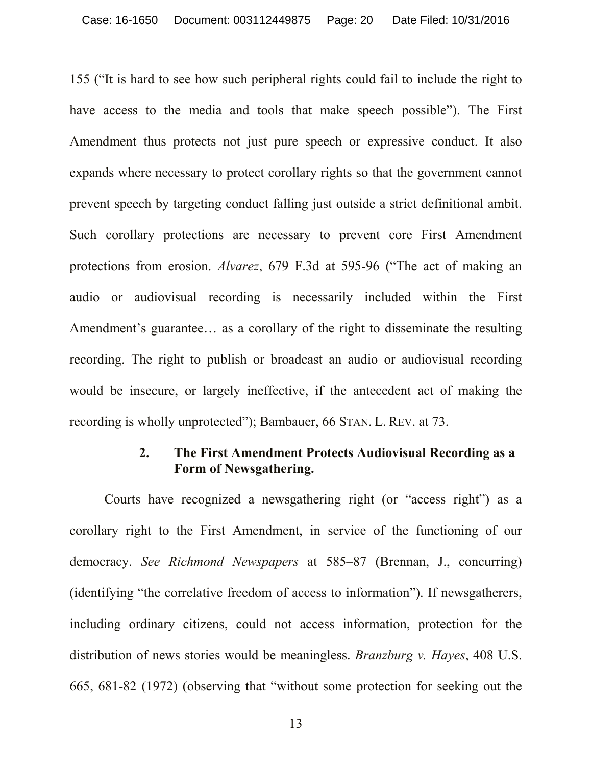155 ("It is hard to see how such peripheral rights could fail to include the right to have access to the media and tools that make speech possible"). The First Amendment thus protects not just pure speech or expressive conduct. It also expands where necessary to protect corollary rights so that the government cannot prevent speech by targeting conduct falling just outside a strict definitional ambit. Such corollary protections are necessary to prevent core First Amendment protections from erosion. *Alvarez*, 679 F.3d at 595-96 ("The act of making an audio or audiovisual recording is necessarily included within the First Amendment's guarantee… as a corollary of the right to disseminate the resulting recording. The right to publish or broadcast an audio or audiovisual recording would be insecure, or largely ineffective, if the antecedent act of making the recording is wholly unprotected"); Bambauer, 66 STAN. L. REV. at 73.

### **2. The First Amendment Protects Audiovisual Recording as a Form of Newsgathering.**

Courts have recognized a newsgathering right (or "access right") as a corollary right to the First Amendment, in service of the functioning of our democracy. *See Richmond Newspapers* at 585–87 (Brennan, J., concurring) (identifying "the correlative freedom of access to information"). If newsgatherers, including ordinary citizens, could not access information, protection for the distribution of news stories would be meaningless. *Branzburg v. Hayes*, 408 U.S. 665, 681-82 (1972) (observing that "without some protection for seeking out the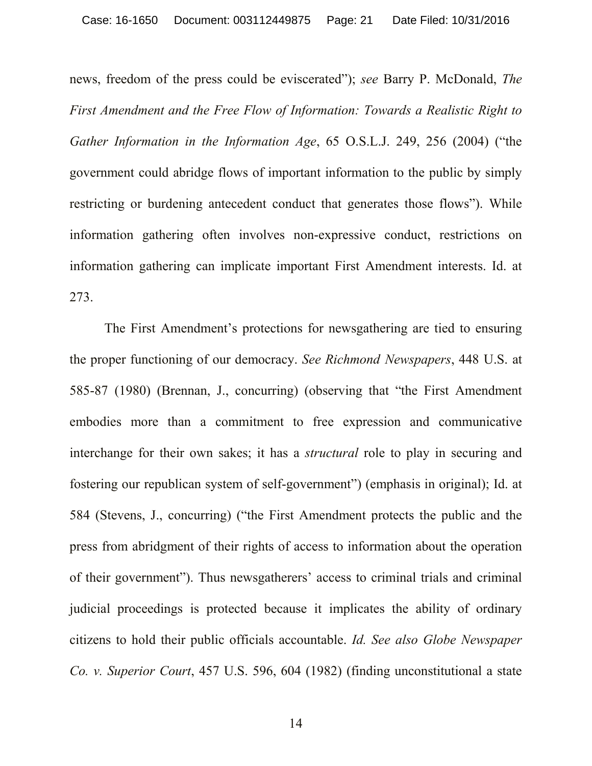news, freedom of the press could be eviscerated"); *see* Barry P. McDonald, *The First Amendment and the Free Flow of Information: Towards a Realistic Right to Gather Information in the Information Age*, 65 O.S.L.J. 249, 256 (2004) ("the government could abridge flows of important information to the public by simply restricting or burdening antecedent conduct that generates those flows"). While information gathering often involves non-expressive conduct, restrictions on information gathering can implicate important First Amendment interests. Id. at 273.

The First Amendment's protections for newsgathering are tied to ensuring the proper functioning of our democracy. *See Richmond Newspapers*, 448 U.S. at 585-87 (1980) (Brennan, J., concurring) (observing that "the First Amendment embodies more than a commitment to free expression and communicative interchange for their own sakes; it has a *structural* role to play in securing and fostering our republican system of self-government") (emphasis in original); Id. at 584 (Stevens, J., concurring) ("the First Amendment protects the public and the press from abridgment of their rights of access to information about the operation of their government"). Thus newsgatherers' access to criminal trials and criminal judicial proceedings is protected because it implicates the ability of ordinary citizens to hold their public officials accountable. *Id. See also Globe Newspaper Co. v. Superior Court*, 457 U.S. 596, 604 (1982) (finding unconstitutional a state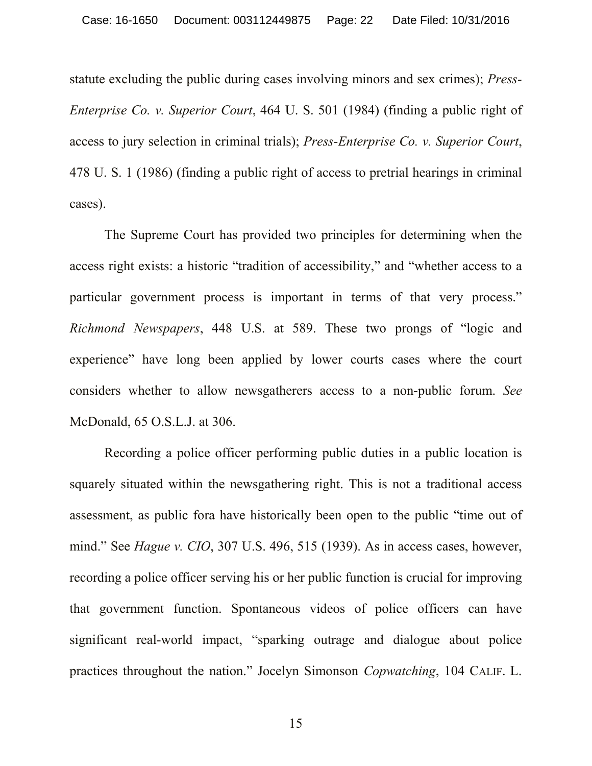statute excluding the public during cases involving minors and sex crimes); *Press-Enterprise Co. v. Superior Court*, 464 U. S. 501 (1984) (finding a public right of access to jury selection in criminal trials); *Press-Enterprise Co. v. Superior Court*, 478 U. S. 1 (1986) (finding a public right of access to pretrial hearings in criminal cases).

The Supreme Court has provided two principles for determining when the access right exists: a historic "tradition of accessibility," and "whether access to a particular government process is important in terms of that very process." *Richmond Newspapers*, 448 U.S. at 589. These two prongs of "logic and experience" have long been applied by lower courts cases where the court considers whether to allow newsgatherers access to a non-public forum. *See* McDonald, 65 O.S.L.J. at 306.

Recording a police officer performing public duties in a public location is squarely situated within the newsgathering right. This is not a traditional access assessment, as public fora have historically been open to the public "time out of mind." See *Hague v. CIO*, 307 U.S. 496, 515 (1939). As in access cases, however, recording a police officer serving his or her public function is crucial for improving that government function. Spontaneous videos of police officers can have significant real-world impact, "sparking outrage and dialogue about police practices throughout the nation." Jocelyn Simonson *Copwatching*, 104 CALIF. L.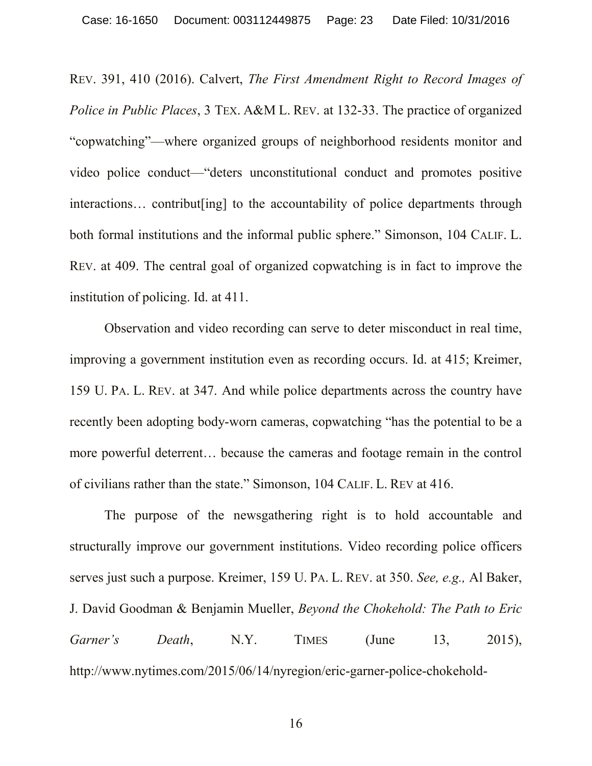REV. 391, 410 (2016). Calvert, *The First Amendment Right to Record Images of Police in Public Places*, 3 TEX. A&M L. REV. at 132-33. The practice of organized "copwatching"—where organized groups of neighborhood residents monitor and video police conduct—"deters unconstitutional conduct and promotes positive interactions... contribut [ing] to the accountability of police departments through both formal institutions and the informal public sphere." Simonson, 104 CALIF. L. REV. at 409. The central goal of organized copwatching is in fact to improve the institution of policing. Id. at 411.

Observation and video recording can serve to deter misconduct in real time, improving a government institution even as recording occurs. Id. at 415; Kreimer, 159 U. PA. L. REV. at 347. And while police departments across the country have recently been adopting body-worn cameras, copwatching "has the potential to be a more powerful deterrent… because the cameras and footage remain in the control of civilians rather than the state." Simonson, 104 CALIF. L. REV at 416.

The purpose of the newsgathering right is to hold accountable and structurally improve our government institutions. Video recording police officers serves just such a purpose. Kreimer, 159 U. PA. L. REV. at 350. *See, e.g.,* Al Baker, J. David Goodman & Benjamin Mueller, *Beyond the Chokehold: The Path to Eric Garner's Death*, N.Y. TIMES (June 13, 2015), http://www.nytimes.com/2015/06/14/nyregion/eric-garner-police-chokehold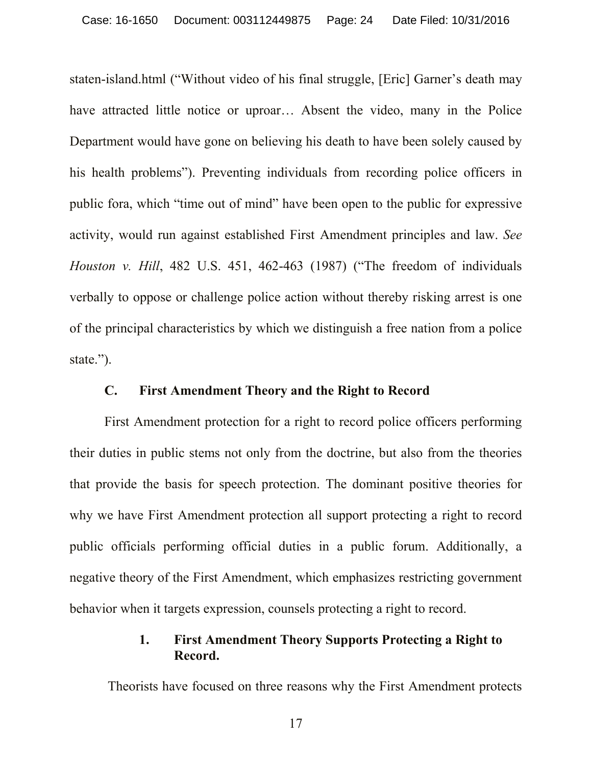staten-island.html ("Without video of his final struggle, [Eric] Garner's death may have attracted little notice or uproar... Absent the video, many in the Police Department would have gone on believing his death to have been solely caused by his health problems"). Preventing individuals from recording police officers in public fora, which "time out of mind" have been open to the public for expressive activity, would run against established First Amendment principles and law. *See Houston v. Hill*, 482 U.S. 451, 462-463 (1987) ("The freedom of individuals verbally to oppose or challenge police action without thereby risking arrest is one of the principal characteristics by which we distinguish a free nation from a police state.").

### **C. First Amendment Theory and the Right to Record**

First Amendment protection for a right to record police officers performing their duties in public stems not only from the doctrine, but also from the theories that provide the basis for speech protection. The dominant positive theories for why we have First Amendment protection all support protecting a right to record public officials performing official duties in a public forum. Additionally, a negative theory of the First Amendment, which emphasizes restricting government behavior when it targets expression, counsels protecting a right to record.

## **1. First Amendment Theory Supports Protecting a Right to Record.**

Theorists have focused on three reasons why the First Amendment protects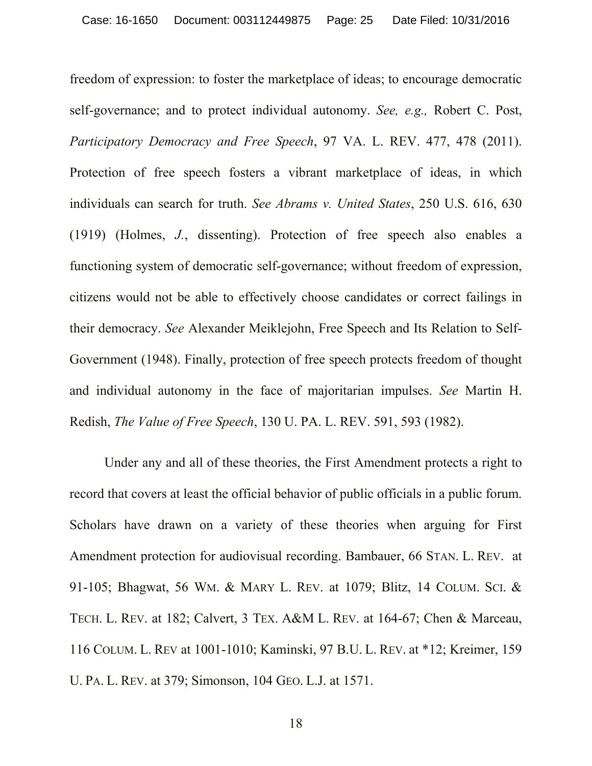freedom of expression: to foster the marketplace of ideas; to encourage democratic self-governance; and to protect individual autonomy. *See, e.g.,* Robert C. Post, *Participatory Democracy and Free Speech*, 97 VA. L. REV. 477, 478 (2011). Protection of free speech fosters a vibrant marketplace of ideas, in which individuals can search for truth. *See Abrams v. United States*, 250 U.S. 616, 630 (1919) (Holmes, *J.*, dissenting). Protection of free speech also enables a functioning system of democratic self-governance; without freedom of expression, citizens would not be able to effectively choose candidates or correct failings in their democracy. *See* Alexander Meiklejohn, Free Speech and Its Relation to Self-Government (1948). Finally, protection of free speech protects freedom of thought and individual autonomy in the face of majoritarian impulses. *See* Martin H. Redish, *The Value of Free Speech*, 130 U. PA. L. REV. 591, 593 (1982).

Under any and all of these theories, the First Amendment protects a right to record that covers at least the official behavior of public officials in a public forum. Scholars have drawn on a variety of these theories when arguing for First Amendment protection for audiovisual recording. Bambauer, 66 STAN. L. REV. at 91-105; Bhagwat, 56 WM. & MARY L. REV. at 1079; Blitz, 14 COLUM. SCI. & TECH. L. REV. at 182; Calvert, 3 TEX. A&M L. REV. at 164-67; Chen & Marceau, 116 COLUM. L. REV at 1001-1010; Kaminski, 97 B.U. L. REV. at \*12; Kreimer, 159 U. PA. L. REV. at 379; Simonson, 104 GEO. L.J. at 1571.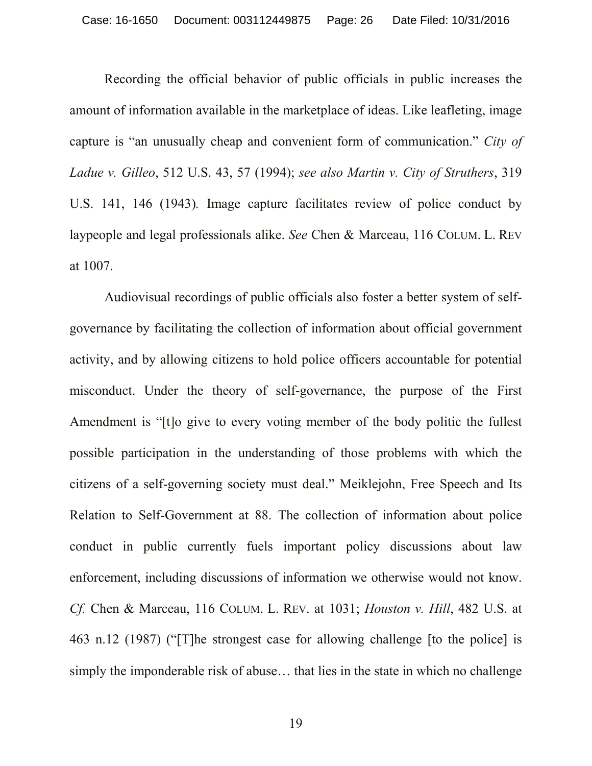Recording the official behavior of public officials in public increases the amount of information available in the marketplace of ideas. Like leafleting, image capture is "an unusually cheap and convenient form of communication." *City of Ladue v. Gilleo*, 512 U.S. 43, 57 (1994); *see also Martin v. City of Struthers*, 319 U.S. 141, 146 (1943)*.* Image capture facilitates review of police conduct by laypeople and legal professionals alike. *See* Chen & Marceau, 116 COLUM. L. REV at 1007.

Audiovisual recordings of public officials also foster a better system of selfgovernance by facilitating the collection of information about official government activity, and by allowing citizens to hold police officers accountable for potential misconduct. Under the theory of self-governance, the purpose of the First Amendment is "[t]o give to every voting member of the body politic the fullest possible participation in the understanding of those problems with which the citizens of a self-governing society must deal." Meiklejohn, Free Speech and Its Relation to Self-Government at 88. The collection of information about police conduct in public currently fuels important policy discussions about law enforcement, including discussions of information we otherwise would not know. *Cf.* Chen & Marceau, 116 COLUM. L. REV. at 1031; *Houston v. Hill*, 482 U.S. at 463 n.12 (1987) ("[T]he strongest case for allowing challenge [to the police] is simply the imponderable risk of abuse… that lies in the state in which no challenge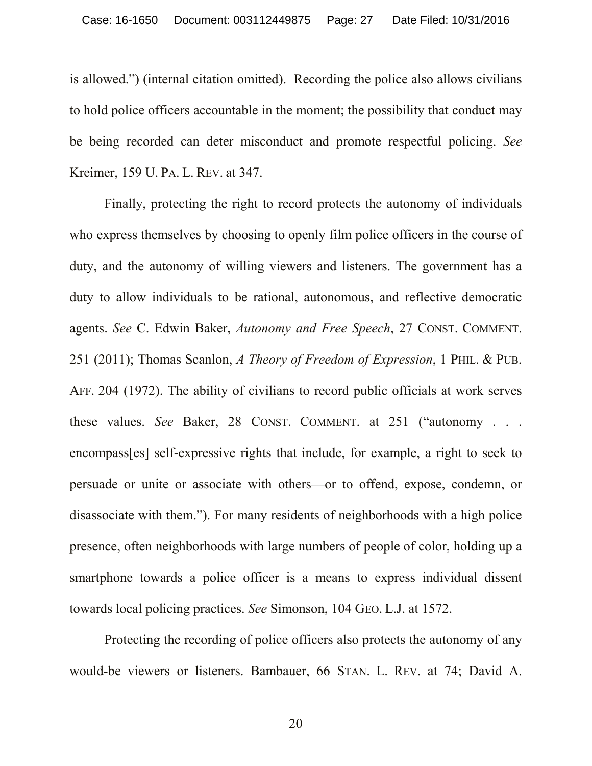is allowed.") (internal citation omitted). Recording the police also allows civilians to hold police officers accountable in the moment; the possibility that conduct may be being recorded can deter misconduct and promote respectful policing. *See*  Kreimer, 159 U. PA. L. REV. at 347.

Finally, protecting the right to record protects the autonomy of individuals who express themselves by choosing to openly film police officers in the course of duty, and the autonomy of willing viewers and listeners. The government has a duty to allow individuals to be rational, autonomous, and reflective democratic agents. *See* C. Edwin Baker, *Autonomy and Free Speech*, 27 CONST. COMMENT. 251 (2011); Thomas Scanlon, *A Theory of Freedom of Expression*, 1 PHIL. & PUB. AFF. 204 (1972). The ability of civilians to record public officials at work serves these values. *See* Baker, 28 CONST. COMMENT. at 251 ("autonomy . . . encompass[es] self-expressive rights that include, for example, a right to seek to persuade or unite or associate with others—or to offend, expose, condemn, or disassociate with them."). For many residents of neighborhoods with a high police presence, often neighborhoods with large numbers of people of color, holding up a smartphone towards a police officer is a means to express individual dissent towards local policing practices. *See* Simonson, 104 GEO. L.J. at 1572.

Protecting the recording of police officers also protects the autonomy of any would-be viewers or listeners. Bambauer, 66 STAN. L. REV. at 74; David A.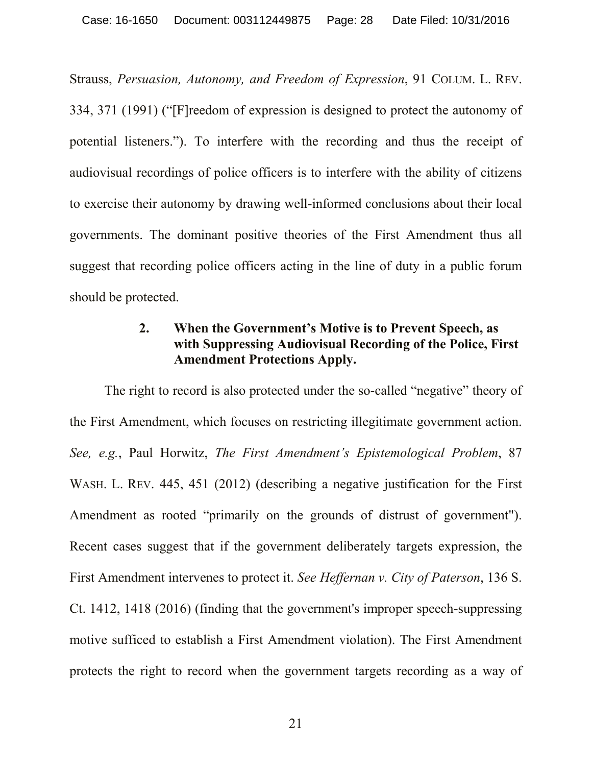Strauss, *Persuasion, Autonomy, and Freedom of Expression*, 91 COLUM. L. REV. 334, 371 (1991) ("[F]reedom of expression is designed to protect the autonomy of potential listeners."). To interfere with the recording and thus the receipt of audiovisual recordings of police officers is to interfere with the ability of citizens to exercise their autonomy by drawing well-informed conclusions about their local governments. The dominant positive theories of the First Amendment thus all suggest that recording police officers acting in the line of duty in a public forum should be protected.

## **2. When the Government's Motive is to Prevent Speech, as with Suppressing Audiovisual Recording of the Police, First Amendment Protections Apply.**

The right to record is also protected under the so-called "negative" theory of the First Amendment, which focuses on restricting illegitimate government action. *See, e.g.*, Paul Horwitz, *The First Amendment's Epistemological Problem*, 87 WASH. L. REV. 445, 451 (2012) (describing a negative justification for the First Amendment as rooted "primarily on the grounds of distrust of government"). Recent cases suggest that if the government deliberately targets expression, the First Amendment intervenes to protect it. *See Heffernan v. City of Paterson*, 136 S. Ct. 1412, 1418 (2016) (finding that the government's improper speech-suppressing motive sufficed to establish a First Amendment violation). The First Amendment protects the right to record when the government targets recording as a way of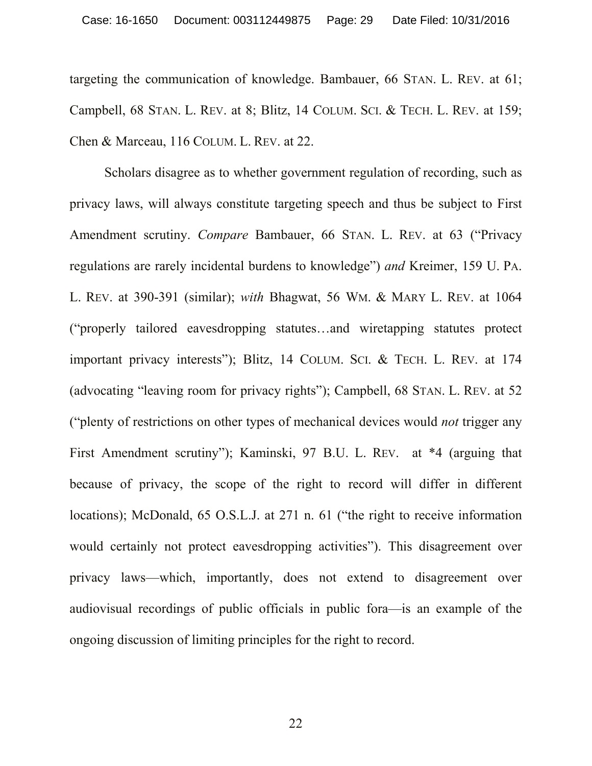targeting the communication of knowledge. Bambauer, 66 STAN. L. REV. at 61; Campbell, 68 STAN. L. REV. at 8; Blitz, 14 COLUM. SCI. & TECH. L. REV. at 159; Chen & Marceau, 116 COLUM. L. REV. at 22.

Scholars disagree as to whether government regulation of recording, such as privacy laws, will always constitute targeting speech and thus be subject to First Amendment scrutiny. *Compare* Bambauer, 66 STAN. L. REV. at 63 ("Privacy regulations are rarely incidental burdens to knowledge") *and* Kreimer, 159 U. PA. L. REV. at 390-391 (similar); *with* Bhagwat, 56 WM. & MARY L. REV. at 1064 ("properly tailored eavesdropping statutes…and wiretapping statutes protect important privacy interests"); Blitz, 14 COLUM. SCI. & TECH. L. REV. at 174 (advocating "leaving room for privacy rights"); Campbell, 68 STAN. L. REV. at 52 ("plenty of restrictions on other types of mechanical devices would *not* trigger any First Amendment scrutiny"); Kaminski, 97 B.U. L. REV. at \*4 (arguing that because of privacy, the scope of the right to record will differ in different locations); McDonald, 65 O.S.L.J. at 271 n. 61 ("the right to receive information would certainly not protect eavesdropping activities"). This disagreement over privacy laws—which, importantly, does not extend to disagreement over audiovisual recordings of public officials in public fora—is an example of the ongoing discussion of limiting principles for the right to record.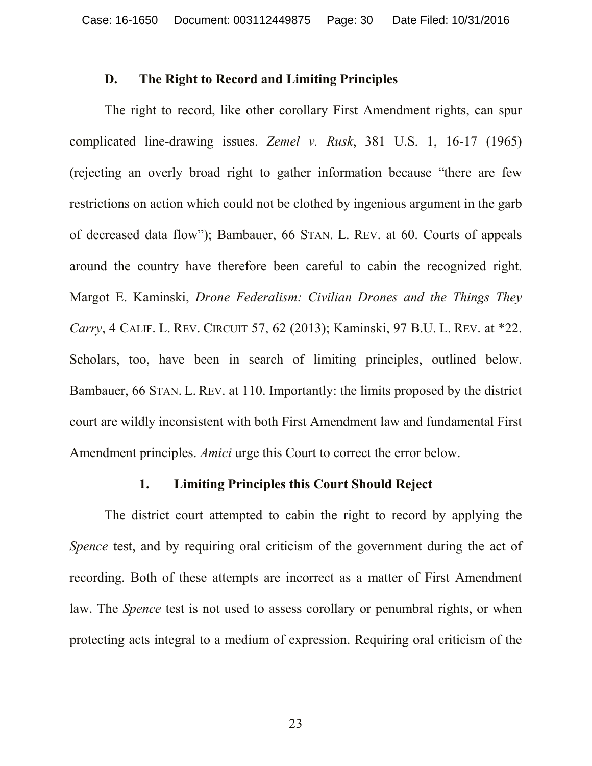### **D. The Right to Record and Limiting Principles**

The right to record, like other corollary First Amendment rights, can spur complicated line-drawing issues. *Zemel v. Rusk*, 381 U.S. 1, 16-17 (1965) (rejecting an overly broad right to gather information because "there are few restrictions on action which could not be clothed by ingenious argument in the garb of decreased data flow"); Bambauer, 66 STAN. L. REV. at 60. Courts of appeals around the country have therefore been careful to cabin the recognized right. Margot E. Kaminski, *Drone Federalism: Civilian Drones and the Things They Carry*, 4 CALIF. L. REV. CIRCUIT 57, 62 (2013); Kaminski, 97 B.U. L. REV. at \*22. Scholars, too, have been in search of limiting principles, outlined below. Bambauer, 66 STAN. L. REV. at 110. Importantly: the limits proposed by the district court are wildly inconsistent with both First Amendment law and fundamental First Amendment principles. *Amici* urge this Court to correct the error below.

### **1. Limiting Principles this Court Should Reject**

The district court attempted to cabin the right to record by applying the *Spence* test, and by requiring oral criticism of the government during the act of recording. Both of these attempts are incorrect as a matter of First Amendment law. The *Spence* test is not used to assess corollary or penumbral rights, or when protecting acts integral to a medium of expression. Requiring oral criticism of the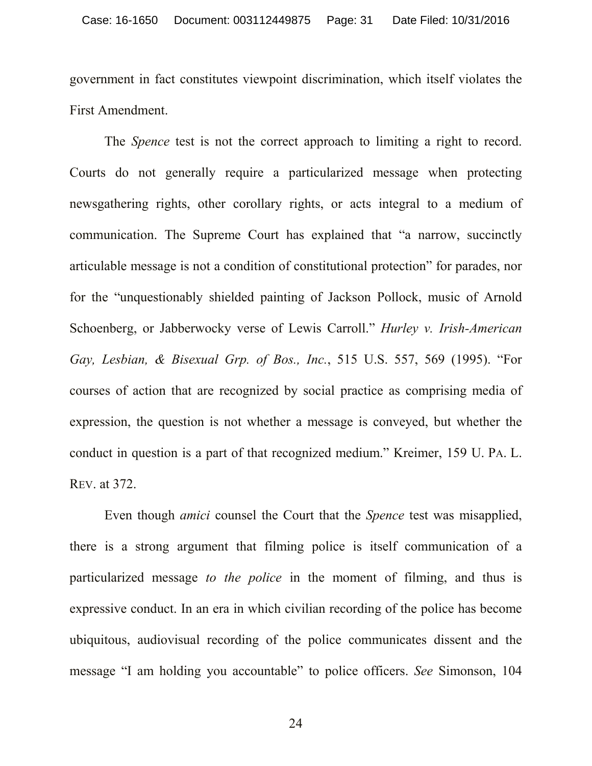government in fact constitutes viewpoint discrimination, which itself violates the First Amendment.

The *Spence* test is not the correct approach to limiting a right to record. Courts do not generally require a particularized message when protecting newsgathering rights, other corollary rights, or acts integral to a medium of communication. The Supreme Court has explained that "a narrow, succinctly articulable message is not a condition of constitutional protection" for parades, nor for the "unquestionably shielded painting of Jackson Pollock, music of Arnold Schoenberg, or Jabberwocky verse of Lewis Carroll." *Hurley v. Irish-American Gay, Lesbian, & Bisexual Grp. of Bos., Inc.*, 515 U.S. 557, 569 (1995). "For courses of action that are recognized by social practice as comprising media of expression, the question is not whether a message is conveyed, but whether the conduct in question is a part of that recognized medium." Kreimer, 159 U. PA. L. REV. at 372.

Even though *amici* counsel the Court that the *Spence* test was misapplied, there is a strong argument that filming police is itself communication of a particularized message *to the police* in the moment of filming, and thus is expressive conduct. In an era in which civilian recording of the police has become ubiquitous, audiovisual recording of the police communicates dissent and the message "I am holding you accountable" to police officers. *See* Simonson, 104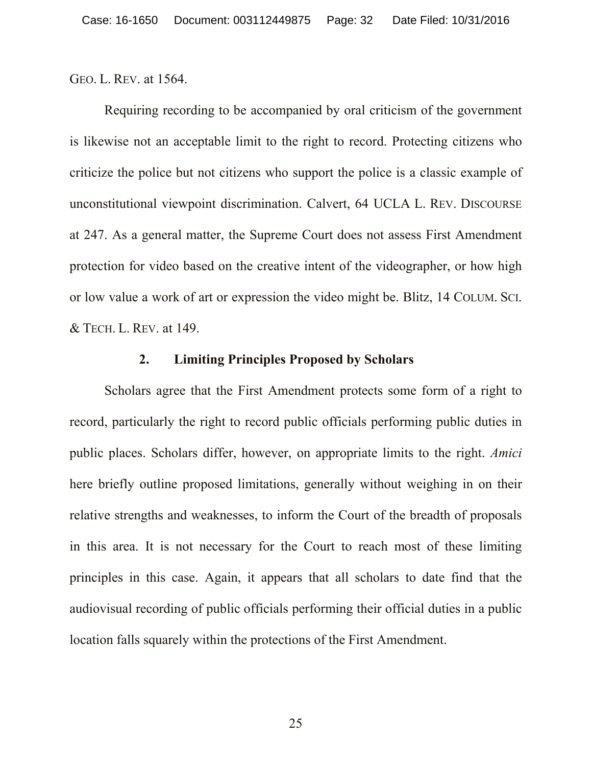GEO. L. REV. at 1564.

Requiring recording to be accompanied by oral criticism of the government is likewise not an acceptable limit to the right to record. Protecting citizens who criticize the police but not citizens who support the police is a classic example of unconstitutional viewpoint discrimination. Calvert, 64 UCLA L. REV. DISCOURSE at 247. As a general matter, the Supreme Court does not assess First Amendment protection for video based on the creative intent of the videographer, or how high or low value a work of art or expression the video might be. Blitz, 14 COLUM. SCI. & TECH. L. REV. at 149.

### **2. Limiting Principles Proposed by Scholars**

Scholars agree that the First Amendment protects some form of a right to record, particularly the right to record public officials performing public duties in public places. Scholars differ, however, on appropriate limits to the right. *Amici* here briefly outline proposed limitations, generally without weighing in on their relative strengths and weaknesses, to inform the Court of the breadth of proposals in this area. It is not necessary for the Court to reach most of these limiting principles in this case. Again, it appears that all scholars to date find that the audiovisual recording of public officials performing their official duties in a public location falls squarely within the protections of the First Amendment.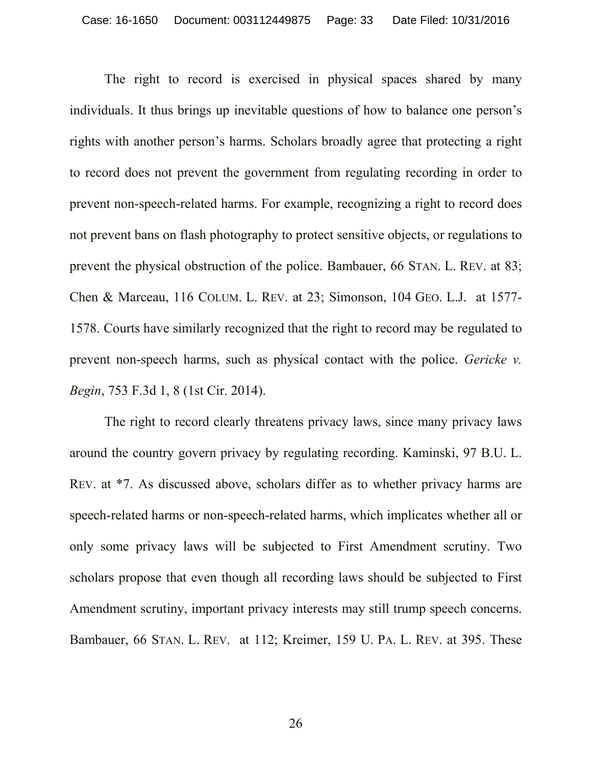The right to record is exercised in physical spaces shared by many individuals. It thus brings up inevitable questions of how to balance one person's rights with another person's harms. Scholars broadly agree that protecting a right to record does not prevent the government from regulating recording in order to prevent non-speech-related harms. For example, recognizing a right to record does not prevent bans on flash photography to protect sensitive objects, or regulations to prevent the physical obstruction of the police. Bambauer, 66 STAN. L. REV. at 83; Chen & Marceau, 116 COLUM. L. REV. at 23; Simonson, 104 GEO. L.J. at 1577- 1578. Courts have similarly recognized that the right to record may be regulated to prevent non-speech harms, such as physical contact with the police. *Gericke v. Begin*, 753 F.3d 1, 8 (1st Cir. 2014).

The right to record clearly threatens privacy laws, since many privacy laws around the country govern privacy by regulating recording. Kaminski, 97 B.U. L. REV. at \*7. As discussed above, scholars differ as to whether privacy harms are speech-related harms or non-speech-related harms, which implicates whether all or only some privacy laws will be subjected to First Amendment scrutiny. Two scholars propose that even though all recording laws should be subjected to First Amendment scrutiny, important privacy interests may still trump speech concerns. Bambauer, 66 STAN. L. REV. at 112; Kreimer, 159 U. PA. L. REV. at 395. These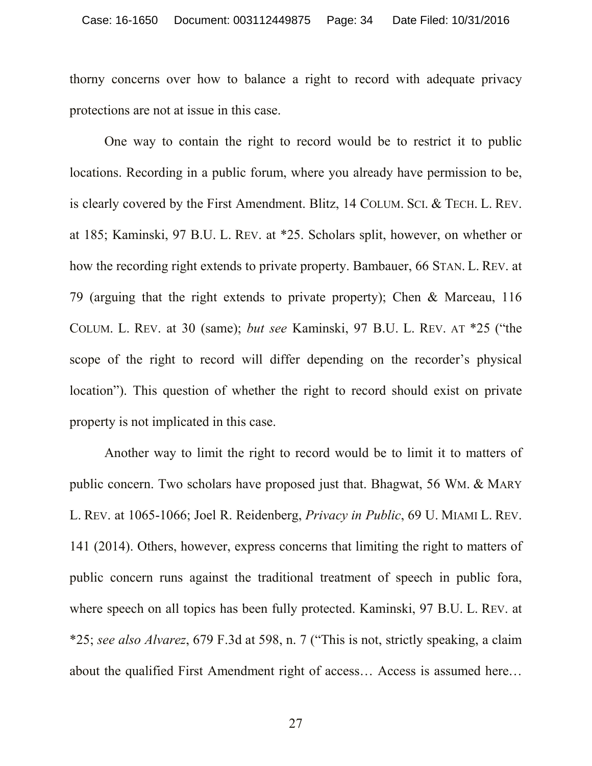thorny concerns over how to balance a right to record with adequate privacy protections are not at issue in this case.

One way to contain the right to record would be to restrict it to public locations. Recording in a public forum, where you already have permission to be, is clearly covered by the First Amendment. Blitz, 14 COLUM. SCI. & TECH. L. REV. at 185; Kaminski, 97 B.U. L. REV. at \*25. Scholars split, however, on whether or how the recording right extends to private property. Bambauer, 66 STAN. L. REV. at 79 (arguing that the right extends to private property); Chen & Marceau, 116 COLUM. L. REV. at 30 (same); *but see* Kaminski, 97 B.U. L. REV. AT \*25 ("the scope of the right to record will differ depending on the recorder's physical location"). This question of whether the right to record should exist on private property is not implicated in this case.

Another way to limit the right to record would be to limit it to matters of public concern. Two scholars have proposed just that. Bhagwat, 56 WM. & MARY L. REV. at 1065-1066; Joel R. Reidenberg, *Privacy in Public*, 69 U. MIAMI L. REV. 141 (2014). Others, however, express concerns that limiting the right to matters of public concern runs against the traditional treatment of speech in public fora, where speech on all topics has been fully protected. Kaminski, 97 B.U. L. REV. at \*25; *see also Alvarez*, 679 F.3d at 598, n. 7 ("This is not, strictly speaking, a claim about the qualified First Amendment right of access… Access is assumed here…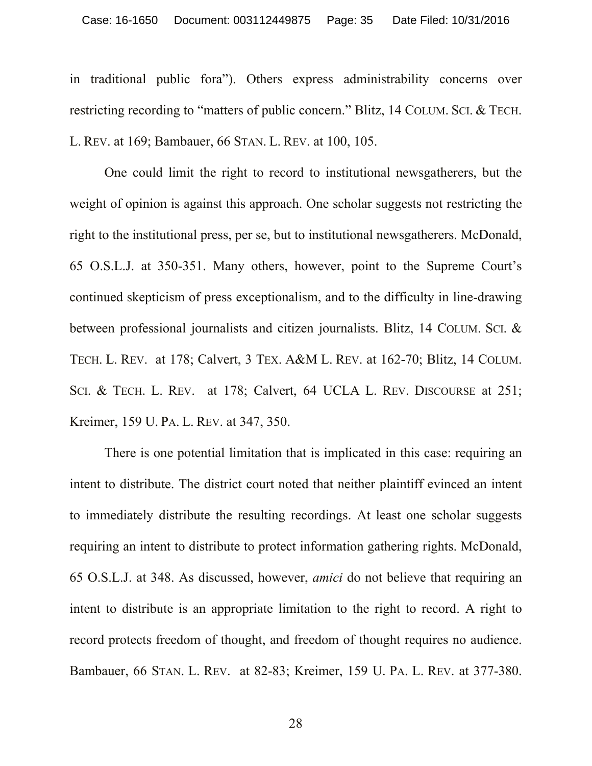in traditional public fora"). Others express administrability concerns over restricting recording to "matters of public concern." Blitz, 14 COLUM. SCI. & TECH. L. REV. at 169; Bambauer, 66 STAN. L. REV. at 100, 105.

One could limit the right to record to institutional newsgatherers, but the weight of opinion is against this approach. One scholar suggests not restricting the right to the institutional press, per se, but to institutional newsgatherers. McDonald, 65 O.S.L.J. at 350-351. Many others, however, point to the Supreme Court's continued skepticism of press exceptionalism, and to the difficulty in line-drawing between professional journalists and citizen journalists. Blitz, 14 COLUM. SCI. & TECH. L. REV. at 178; Calvert, 3 TEX. A&M L. REV. at 162-70; Blitz, 14 COLUM. SCI. & TECH. L. REV. at 178; Calvert, 64 UCLA L. REV. DISCOURSE at 251; Kreimer, 159 U. PA. L. REV. at 347, 350.

There is one potential limitation that is implicated in this case: requiring an intent to distribute. The district court noted that neither plaintiff evinced an intent to immediately distribute the resulting recordings. At least one scholar suggests requiring an intent to distribute to protect information gathering rights. McDonald, 65 O.S.L.J. at 348. As discussed, however, *amici* do not believe that requiring an intent to distribute is an appropriate limitation to the right to record. A right to record protects freedom of thought, and freedom of thought requires no audience. Bambauer, 66 STAN. L. REV. at 82-83; Kreimer, 159 U. PA. L. REV. at 377-380.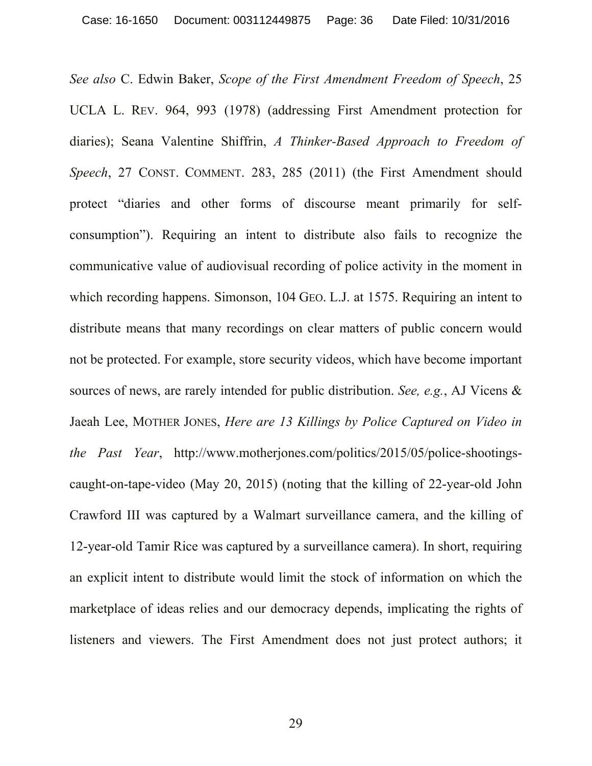*See also* C. Edwin Baker, *Scope of the First Amendment Freedom of Speech*, 25 UCLA L. REV. 964, 993 (1978) (addressing First Amendment protection for diaries); Seana Valentine Shiffrin, *A Thinker-Based Approach to Freedom of Speech*, 27 CONST. COMMENT. 283, 285 (2011) (the First Amendment should protect "diaries and other forms of discourse meant primarily for selfconsumption"). Requiring an intent to distribute also fails to recognize the communicative value of audiovisual recording of police activity in the moment in which recording happens. Simonson, 104 GEO. L.J. at 1575. Requiring an intent to distribute means that many recordings on clear matters of public concern would not be protected. For example, store security videos, which have become important sources of news, are rarely intended for public distribution. *See, e.g.*, AJ Vicens & Jaeah Lee, MOTHER JONES, *Here are 13 Killings by Police Captured on Video in the Past Year*, http://www.motherjones.com/politics/2015/05/police-shootingscaught-on-tape-video (May 20, 2015) (noting that the killing of 22-year-old John Crawford III was captured by a Walmart surveillance camera, and the killing of 12-year-old Tamir Rice was captured by a surveillance camera). In short, requiring an explicit intent to distribute would limit the stock of information on which the marketplace of ideas relies and our democracy depends, implicating the rights of listeners and viewers. The First Amendment does not just protect authors; it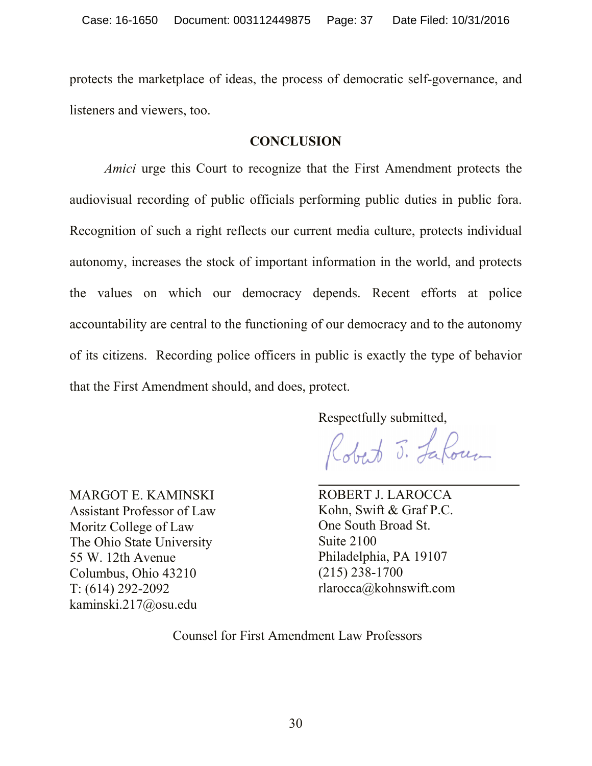protects the marketplace of ideas, the process of democratic self-governance, and listeners and viewers, too.

#### **CONCLUSION**

*Amici* urge this Court to recognize that the First Amendment protects the audiovisual recording of public officials performing public duties in public fora. Recognition of such a right reflects our current media culture, protects individual autonomy, increases the stock of important information in the world, and protects the values on which our democracy depends. Recent efforts at police accountability are central to the functioning of our democracy and to the autonomy of its citizens. Recording police officers in public is exactly the type of behavior that the First Amendment should, and does, protect.

Respectfully submitted,

Robert J. La

l,

MARGOT E. KAMINSKI Assistant Professor of Law Moritz College of Law The Ohio State University 55 W. 12th Avenue Columbus, Ohio 43210 T: (614) 292-2092 kaminski.217@osu.edu

ROBERT J. LAROCCA Kohn, Swift & Graf P.C. One South Broad St. Suite 2100 Philadelphia, PA 19107 (215) 238-1700 rlarocca@kohnswift.com

Counsel for First Amendment Law Professors